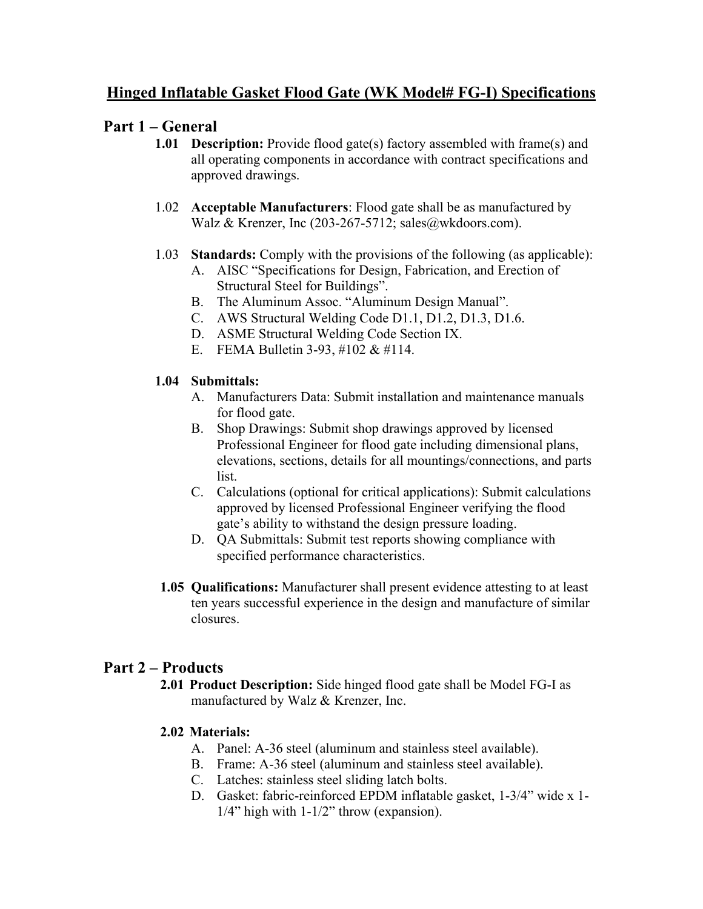## **Hinged Inflatable Gasket Flood Gate (WK Model# FG-I) Specifications**

## **Part 1 – General**

- **1.01 Description:** Provide flood gate(s) factory assembled with frame(s) and all operating components in accordance with contract specifications and approved drawings.
- 1.02 **Acceptable Manufacturers**: Flood gate shall be as manufactured by Walz & Krenzer, Inc (203-267-5712; sales@wkdoors.com).
- 1.03 **Standards:** Comply with the provisions of the following (as applicable):
	- A. AISC "Specifications for Design, Fabrication, and Erection of Structural Steel for Buildings".
	- B. The Aluminum Assoc. "Aluminum Design Manual".
	- C. AWS Structural Welding Code D1.1, D1.2, D1.3, D1.6.
	- D. ASME Structural Welding Code Section IX.
	- E. FEMA Bulletin 3-93, #102 & #114.

### **1.04 Submittals:**

- A. Manufacturers Data: Submit installation and maintenance manuals for flood gate.
- B. Shop Drawings: Submit shop drawings approved by licensed Professional Engineer for flood gate including dimensional plans, elevations, sections, details for all mountings/connections, and parts list.
- C. Calculations (optional for critical applications): Submit calculations approved by licensed Professional Engineer verifying the flood gate's ability to withstand the design pressure loading.
- D. QA Submittals: Submit test reports showing compliance with specified performance characteristics.
- **1.05 Qualifications:** Manufacturer shall present evidence attesting to at least ten years successful experience in the design and manufacture of similar closures.

# **Part 2 – Products**

**2.01 Product Description:** Side hinged flood gate shall be Model FG-I as manufactured by Walz & Krenzer, Inc.

### **2.02 Materials:**

- A. Panel: A-36 steel (aluminum and stainless steel available).
- B. Frame: A-36 steel (aluminum and stainless steel available).
- C. Latches: stainless steel sliding latch bolts.
- D. Gasket: fabric-reinforced EPDM inflatable gasket, 1-3/4" wide x 1- 1/4" high with 1-1/2" throw (expansion).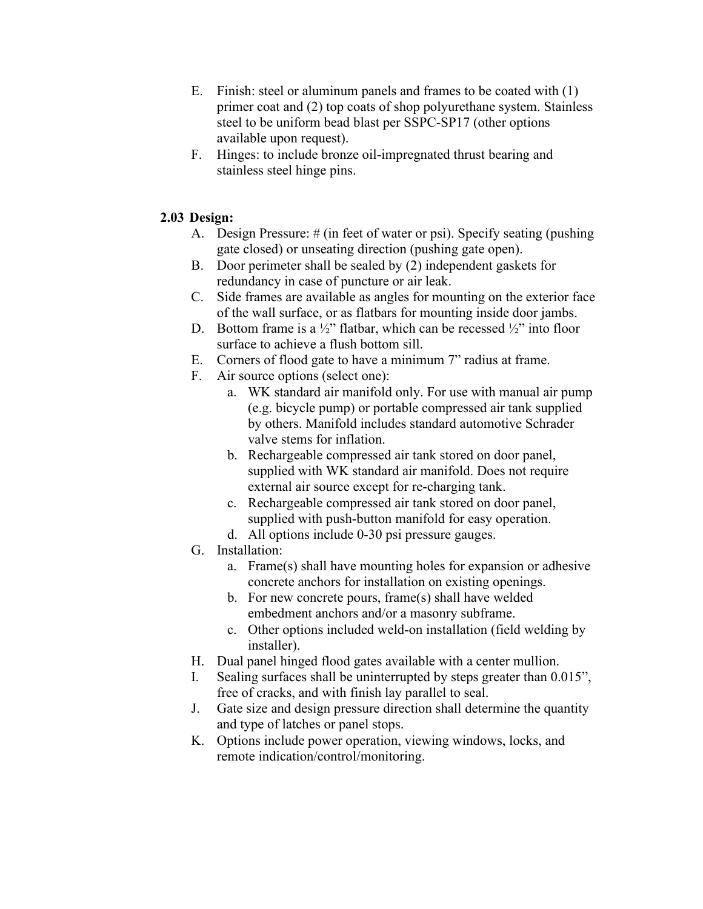- E. Finish: steel or aluminum panels and frames to be coated with (1) primer coat and (2) top coats of shop polyurethane system. Stainless steel to be uniform bead blast per SSPC-SP17 (other options available upon request).
- F. Hinges: to include bronze oil-impregnated thrust bearing and stainless steel hinge pins.

#### **2.03 Design:**

- A. Design Pressure: # (in feet of water or psi). Specify seating (pushing gate closed) or unseating direction (pushing gate open).
- B. Door perimeter shall be sealed by (2) independent gaskets for redundancy in case of puncture or air leak.
- C. Side frames are available as angles for mounting on the exterior face of the wall surface, or as flatbars for mounting inside door jambs.
- D. Bottom frame is a  $\frac{1}{2}$ " flatbar, which can be recessed  $\frac{1}{2}$ " into floor surface to achieve a flush bottom sill.
- E. Corners of flood gate to have a minimum 7" radius at frame.
- F. Air source options (select one):
	- a. WK standard air manifold only. For use with manual air pump (e.g. bicycle pump) or portable compressed air tank supplied by others. Manifold includes standard automotive Schrader valve stems for inflation.
	- b. Rechargeable compressed air tank stored on door panel, supplied with WK standard air manifold. Does not require external air source except for re-charging tank.
	- c. Rechargeable compressed air tank stored on door panel, supplied with push-button manifold for easy operation.
	- d. All options include 0-30 psi pressure gauges.
- G. Installation:
	- a. Frame(s) shall have mounting holes for expansion or adhesive concrete anchors for installation on existing openings.
	- b. For new concrete pours, frame(s) shall have welded embedment anchors and/or a masonry subframe.
	- c. Other options included weld-on installation (field welding by installer).
- H. Dual panel hinged flood gates available with a center mullion.
- I. Sealing surfaces shall be uninterrupted by steps greater than 0.015", free of cracks, and with finish lay parallel to seal.
- J. Gate size and design pressure direction shall determine the quantity and type of latches or panel stops.
- K. Options include power operation, viewing windows, locks, and remote indication/control/monitoring.